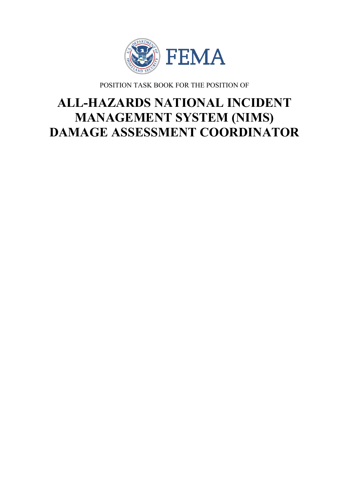

POSITION TASK BOOK FOR THE POSITION OF

# **ALL-HAZARDS NATIONAL INCIDENT MANAGEMENT SYSTEM (NIMS) DAMAGE ASSESSMENT COORDINATOR**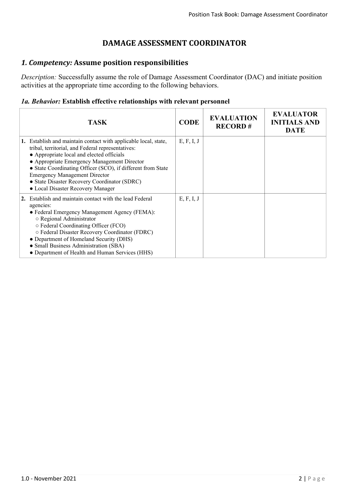## **DAMAGE ASSESSMENT COORDINATOR**

#### *1. Competency:* **Assume position responsibilities**

*Description:* Successfully assume the role of Damage Assessment Coordinator (DAC) and initiate position activities at the appropriate time according to the following behaviors.

#### *1a. Behavior:* **Establish effective relationships with relevant personnel**

| <b>TASK</b>                                                                                                                                                                                                                                                                                                                                                                                                  | <b>CODE</b> | <b>EVALUATION</b><br><b>RECORD#</b> | <b>EVALUATOR</b><br><b>INITIALS AND</b><br><b>DATE</b> |
|--------------------------------------------------------------------------------------------------------------------------------------------------------------------------------------------------------------------------------------------------------------------------------------------------------------------------------------------------------------------------------------------------------------|-------------|-------------------------------------|--------------------------------------------------------|
| 1. Establish and maintain contact with applicable local, state,<br>tribal, territorial, and Federal representatives:<br>• Appropriate local and elected officials<br>• Appropriate Emergency Management Director<br>• State Coordinating Officer (SCO), if different from State<br><b>Emergency Management Director</b><br>• State Disaster Recovery Coordinator (SDRC)<br>• Local Disaster Recovery Manager | E, F, I, J  |                                     |                                                        |
| 2. Establish and maintain contact with the lead Federal<br>agencies:<br>• Federal Emergency Management Agency (FEMA):<br>○ Regional Administrator<br>○ Federal Coordinating Officer (FCO)<br>o Federal Disaster Recovery Coordinator (FDRC)<br>• Department of Homeland Security (DHS)<br>• Small Business Administration (SBA)<br>• Department of Health and Human Services (HHS)                           | E, F, I, J  |                                     |                                                        |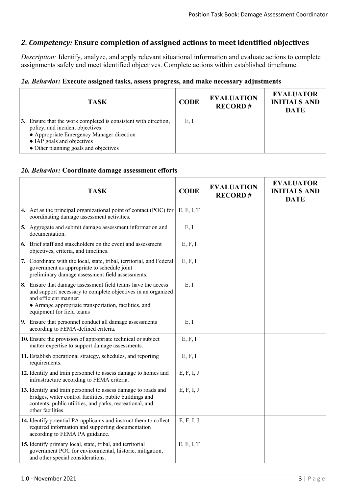### *2. Competency:* **Ensure completion of assigned actions to meet identified objectives**

*Description:* Identify, analyze, and apply relevant situational information and evaluate actions to complete assignments safely and meet identified objectives. Complete actions within established timeframe.

#### *2a. Behavior:* **Execute assigned tasks, assess progress, and make necessary adjustments**

| <b>TASK</b>                                                                                                                                                                                                             | <b>CODE</b> | <b>EVALUATION</b><br><b>RECORD#</b> | <b>EVALUATOR</b><br><b>INITIALS AND</b><br><b>DATE</b> |
|-------------------------------------------------------------------------------------------------------------------------------------------------------------------------------------------------------------------------|-------------|-------------------------------------|--------------------------------------------------------|
| 3. Ensure that the work completed is consistent with direction,<br>policy, and incident objectives:<br>• Appropriate Emergency Manager direction<br>• IAP goals and objectives<br>• Other planning goals and objectives | E, I        |                                     |                                                        |

#### *2b. Behavior:* **Coordinate damage assessment efforts**

| <b>TASK</b>                                                                                                                                                                                                                                 | <b>CODE</b> | <b>EVALUATION</b><br><b>RECORD#</b> | <b>EVALUATOR</b><br><b>INITIALS AND</b><br><b>DATE</b> |
|---------------------------------------------------------------------------------------------------------------------------------------------------------------------------------------------------------------------------------------------|-------------|-------------------------------------|--------------------------------------------------------|
| 4. Act as the principal organizational point of contact (POC) for<br>coordinating damage assessment activities.                                                                                                                             | E, F, I, T  |                                     |                                                        |
| 5. Aggregate and submit damage assessment information and<br>documentation.                                                                                                                                                                 | E, I        |                                     |                                                        |
| 6. Brief staff and stakeholders on the event and assessment<br>objectives, criteria, and timelines.                                                                                                                                         | E, F, I     |                                     |                                                        |
| 7. Coordinate with the local, state, tribal, territorial, and Federal<br>government as appropriate to schedule joint<br>preliminary damage assessment field assessments.                                                                    | E, F, I     |                                     |                                                        |
| 8. Ensure that damage assessment field teams have the access<br>and support necessary to complete objectives in an organized<br>and efficient manner:<br>• Arrange appropriate transportation, facilities, and<br>equipment for field teams | E, I        |                                     |                                                        |
| 9. Ensure that personnel conduct all damage assessments<br>according to FEMA-defined criteria.                                                                                                                                              | E, I        |                                     |                                                        |
| 10. Ensure the provision of appropriate technical or subject<br>matter expertise to support damage assessments.                                                                                                                             |             |                                     |                                                        |
| 11. Establish operational strategy, schedules, and reporting<br>requirements.                                                                                                                                                               | E, F, I     |                                     |                                                        |
| 12. Identify and train personnel to assess damage to homes and<br>infrastructure according to FEMA criteria.                                                                                                                                | E, F, I, J  |                                     |                                                        |
| 13. Identify and train personnel to assess damage to roads and<br>bridges, water control facilities, public buildings and<br>contents, public utilities, and parks, recreational, and<br>other facilities.                                  | E, F, I, J  |                                     |                                                        |
| 14. Identify potential PA applicants and instruct them to collect<br>required information and supporting documentation<br>according to FEMA PA guidance.                                                                                    | E, F, I, J  |                                     |                                                        |
| 15. Identify primary local, state, tribal, and territorial<br>government POC for environmental, historic, mitigation,<br>and other special considerations.                                                                                  | E, F, I, T  |                                     |                                                        |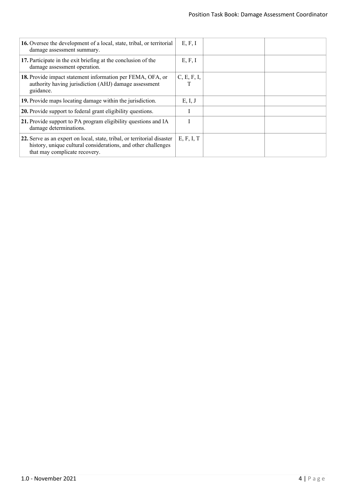| 16. Oversee the development of a local, state, tribal, or territorial<br>damage assessment summary.                                                                       | E, F, I     |  |
|---------------------------------------------------------------------------------------------------------------------------------------------------------------------------|-------------|--|
| 17. Participate in the exit briefing at the conclusion of the<br>damage assessment operation.                                                                             | E, F, I     |  |
| 18. Provide impact statement information per FEMA, OFA, or<br>authority having jurisdiction (AHJ) damage assessment<br>guidance.                                          | C, E, F, I, |  |
| 19. Provide maps locating damage within the jurisdiction.                                                                                                                 | E, I, J     |  |
| 20. Provide support to federal grant eligibility questions.                                                                                                               |             |  |
| 21. Provide support to PA program eligibility questions and IA<br>damage determinations.                                                                                  |             |  |
| 22. Serve as an expert on local, state, tribal, or territorial disaster<br>history, unique cultural considerations, and other challenges<br>that may complicate recovery. | E, F, I, T  |  |